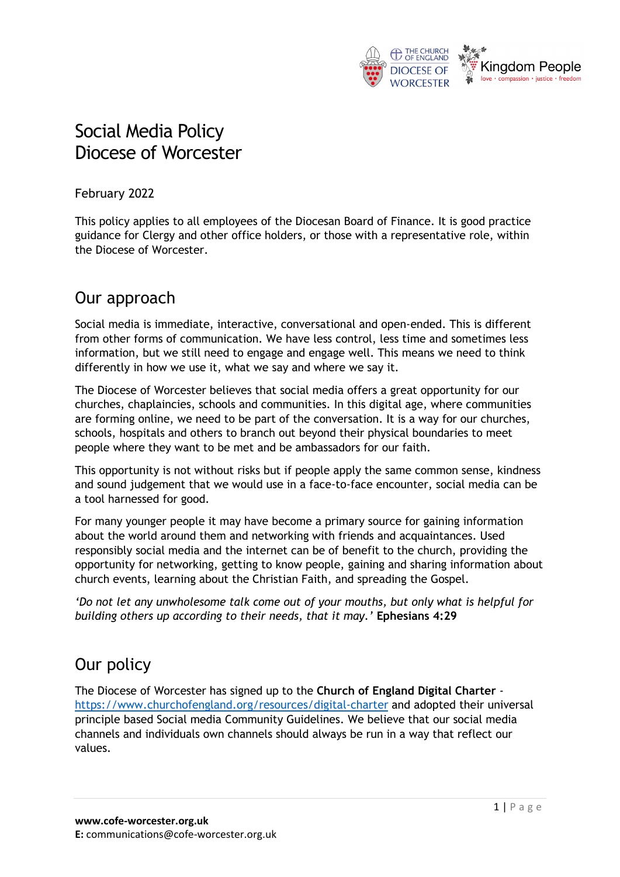

# Social Media Policy Diocese of Worcester

February 2022

This policy applies to all employees of the Diocesan Board of Finance. It is good practice guidance for Clergy and other office holders, or those with a representative role, within the Diocese of Worcester.

### Our approach

Social media is immediate, interactive, conversational and open-ended. This is different from other forms of communication. We have less control, less time and sometimes less information, but we still need to engage and engage well. This means we need to think differently in how we use it, what we say and where we say it.

The Diocese of Worcester believes that social media offers a great opportunity for our churches, chaplaincies, schools and communities. In this digital age, where communities are forming online, we need to be part of the conversation. It is a way for our churches, schools, hospitals and others to branch out beyond their physical boundaries to meet people where they want to be met and be ambassadors for our faith.

This opportunity is not without risks but if people apply the same common sense, kindness and sound judgement that we would use in a face-to-face encounter, social media can be a tool harnessed for good.

For many younger people it may have become a primary source for gaining information about the world around them and networking with friends and acquaintances. Used responsibly social media and the internet can be of benefit to the church, providing the opportunity for networking, getting to know people, gaining and sharing information about church events, learning about the Christian Faith, and spreading the Gospel.

*'Do not let any unwholesome talk come out of your mouths, but only what is helpful for building others up according to their needs, that it may.'* **Ephesians 4:29**

## Our policy

The Diocese of Worcester has signed up to the **Church of England Digital Charter** <https://www.churchofengland.org/resources/digital-charter> and adopted their universal principle based Social media Community Guidelines. We believe that our social media channels and individuals own channels should always be run in a way that reflect our values.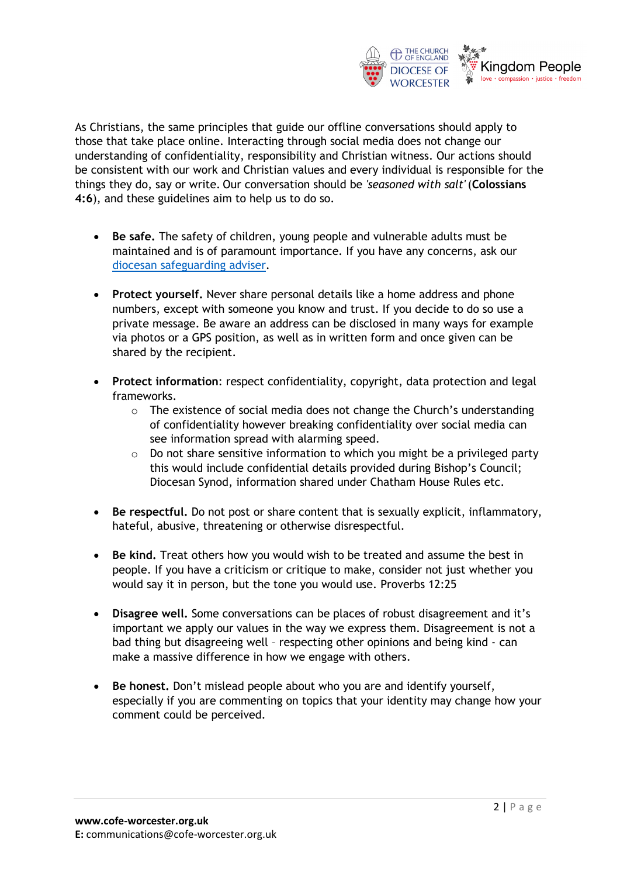

As Christians, the same principles that guide our offline conversations should apply to those that take place online. Interacting through social media does not change our understanding of confidentiality, responsibility and Christian witness. Our actions should be consistent with our work and Christian values and every individual is responsible for the things they do, say or write. Our conversation should be *'seasoned with salt'* (**Colossians 4:6**), and these guidelines aim to help us to do so.

- **Be safe.** The safety of children, young people and vulnerable adults must be maintained and is of paramount importance. If you have any concerns, ask our [diocesan safeguarding adviser.](https://www.cofe-worcester.org.uk/safeguarding/contact-the-team/)
- **Protect yourself.** Never share personal details like a home address and phone numbers, except with someone you know and trust. If you decide to do so use a private message. Be aware an address can be disclosed in many ways for example via photos or a GPS position, as well as in written form and once given can be shared by the recipient.
- **Protect information**: respect confidentiality, copyright, data protection and legal frameworks.
	- $\circ$  The existence of social media does not change the Church's understanding of confidentiality however breaking confidentiality over social media can see information spread with alarming speed.
	- $\circ$  Do not share sensitive information to which you might be a privileged party this would include confidential details provided during Bishop's Council; Diocesan Synod, information shared under Chatham House Rules etc.
- **Be respectful.** Do not post or share content that is sexually explicit, inflammatory, hateful, abusive, threatening or otherwise disrespectful.
- **Be kind.** Treat others how you would wish to be treated and assume the best in people. If you have a criticism or critique to make, consider not just whether you would say it in person, but the tone you would use. Proverbs 12:25
- **Disagree well.** Some conversations can be places of robust disagreement and it's important we apply our values in the way we express them. Disagreement is not a bad thing but disagreeing well – respecting other opinions and being kind - can make a massive difference in how we engage with others.
- **Be honest.** Don't mislead people about who you are and identify yourself, especially if you are commenting on topics that your identity may change how your comment could be perceived.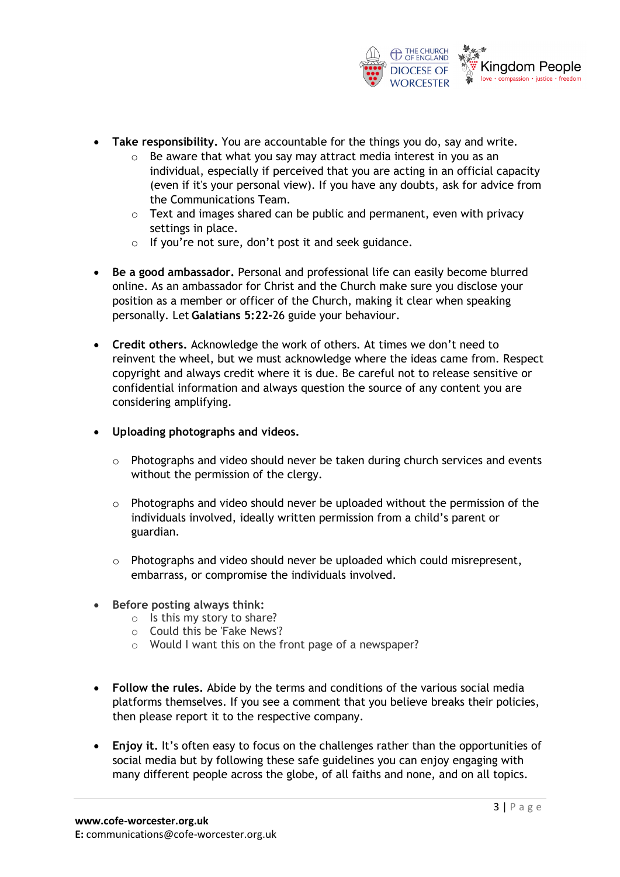

- **Take responsibility.** You are accountable for the things you do, say and write.
	- o Be aware that what you say may attract media interest in you as an individual, especially if perceived that you are acting in an official capacity (even if it's your personal view). If you have any doubts, ask for advice from the Communications Team.
	- $\circ$  Text and images shared can be public and permanent, even with privacy settings in place.
	- o If you're not sure, don't post it and seek guidance.
- **Be a good ambassador.** Personal and professional life can easily become blurred online. As an ambassador for Christ and the Church make sure you disclose your position as a member or officer of the Church, making it clear when speaking personally. Let **Galatians 5:22-**26 guide your behaviour.
- **Credit others.** Acknowledge the work of others. At times we don't need to reinvent the wheel, but we must acknowledge where the ideas came from. Respect copyright and always credit where it is due. Be careful not to release sensitive or confidential information and always question the source of any content you are considering amplifying.
- **Uploading photographs and videos.**
	- $\circ$  Photographs and video should never be taken during church services and events without the permission of the clergy.
	- o Photographs and video should never be uploaded without the permission of the individuals involved, ideally written permission from a child's parent or guardian.
	- $\circ$  Photographs and video should never be uploaded which could misrepresent, embarrass, or compromise the individuals involved.
- **Before posting always think:**
	- o Is this my story to share?
	- o Could this be 'Fake News'?
	- o Would I want this on the front page of a newspaper?
- **Follow the rules.** Abide by the terms and conditions of the various social media platforms themselves. If you see a comment that you believe breaks their policies, then please report it to the respective company.
- **Enjoy it.** It's often easy to focus on the challenges rather than the opportunities of social media but by following these safe guidelines you can enjoy engaging with many different people across the globe, of all faiths and none, and on all topics.